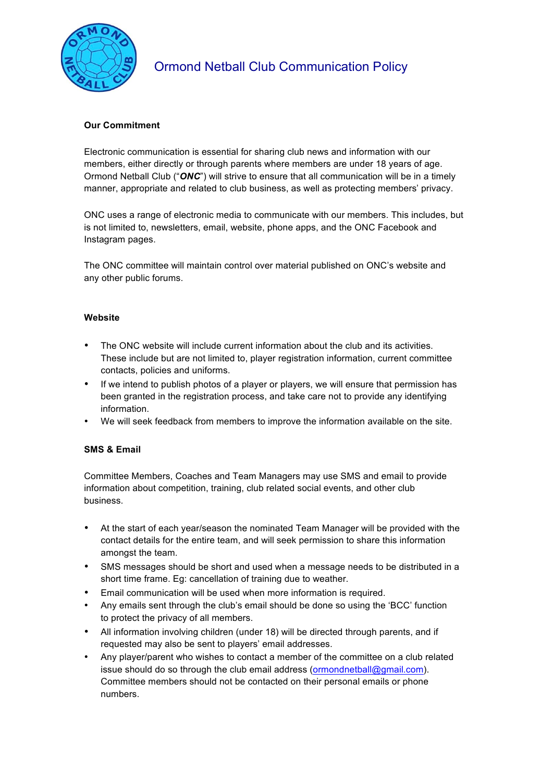

# **Our Commitment**

Electronic communication is essential for sharing club news and information with our members, either directly or through parents where members are under 18 years of age. Ormond Netball Club ("*ONC*") will strive to ensure that all communication will be in a timely manner, appropriate and related to club business, as well as protecting members' privacy.

ONC uses a range of electronic media to communicate with our members. This includes, but is not limited to, newsletters, email, website, phone apps, and the ONC Facebook and Instagram pages.

The ONC committee will maintain control over material published on ONC's website and any other public forums.

### **Website**

- The ONC website will include current information about the club and its activities. These include but are not limited to, player registration information, current committee contacts, policies and uniforms.
- If we intend to publish photos of a player or players, we will ensure that permission has been granted in the registration process, and take care not to provide any identifying information.
- We will seek feedback from members to improve the information available on the site.

# **SMS & Email**

Committee Members, Coaches and Team Managers may use SMS and email to provide information about competition, training, club related social events, and other club business.

- At the start of each year/season the nominated Team Manager will be provided with the contact details for the entire team, and will seek permission to share this information amongst the team.
- SMS messages should be short and used when a message needs to be distributed in a short time frame. Eg: cancellation of training due to weather.
- Email communication will be used when more information is required.
- Any emails sent through the club's email should be done so using the 'BCC' function to protect the privacy of all members.
- All information involving children (under 18) will be directed through parents, and if requested may also be sent to players' email addresses.
- Any player/parent who wishes to contact a member of the committee on a club related issue should do so through the club email address (ormondnetball@gmail.com). Committee members should not be contacted on their personal emails or phone numbers.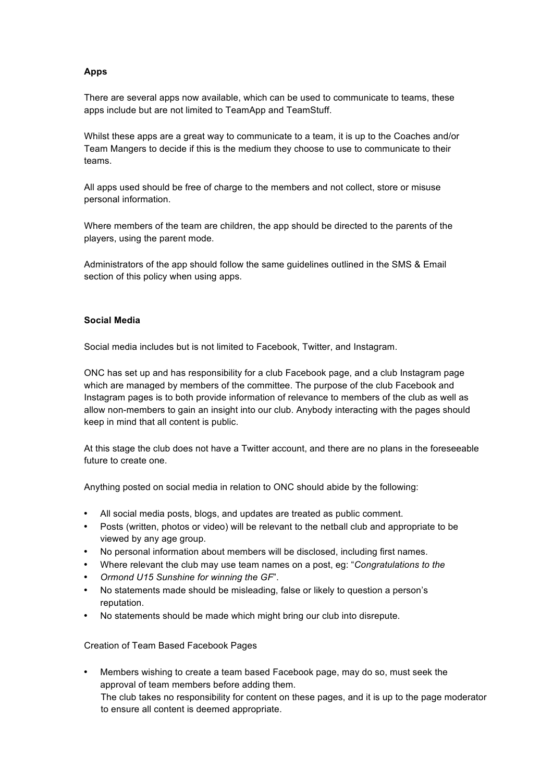# **Apps**

There are several apps now available, which can be used to communicate to teams, these apps include but are not limited to TeamApp and TeamStuff.

Whilst these apps are a great way to communicate to a team, it is up to the Coaches and/or Team Mangers to decide if this is the medium they choose to use to communicate to their teams.

All apps used should be free of charge to the members and not collect, store or misuse personal information.

Where members of the team are children, the app should be directed to the parents of the players, using the parent mode.

Administrators of the app should follow the same guidelines outlined in the SMS & Email section of this policy when using apps.

#### **Social Media**

Social media includes but is not limited to Facebook, Twitter, and Instagram.

ONC has set up and has responsibility for a club Facebook page, and a club Instagram page which are managed by members of the committee. The purpose of the club Facebook and Instagram pages is to both provide information of relevance to members of the club as well as allow non-members to gain an insight into our club. Anybody interacting with the pages should keep in mind that all content is public.

At this stage the club does not have a Twitter account, and there are no plans in the foreseeable future to create one.

Anything posted on social media in relation to ONC should abide by the following:

- All social media posts, blogs, and updates are treated as public comment.
- Posts (written, photos or video) will be relevant to the netball club and appropriate to be viewed by any age group.
- No personal information about members will be disclosed, including first names.
- Where relevant the club may use team names on a post, eg: "*Congratulations to the*
- *Ormond U15 Sunshine for winning the GF*".
- No statements made should be misleading, false or likely to question a person's reputation.
- No statements should be made which might bring our club into disrepute.

Creation of Team Based Facebook Pages

• Members wishing to create a team based Facebook page, may do so, must seek the approval of team members before adding them. The club takes no responsibility for content on these pages, and it is up to the page moderator to ensure all content is deemed appropriate.